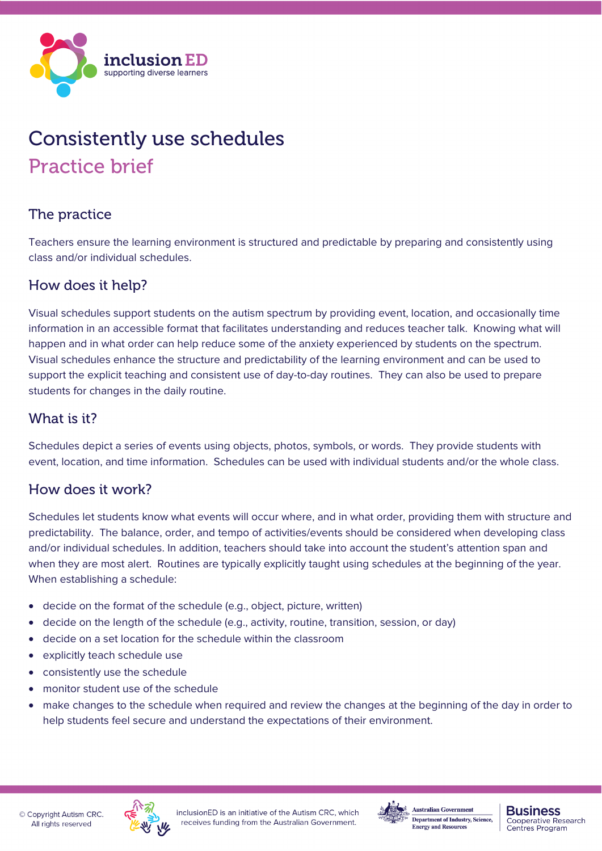

# Consistently use schedules Practice brief

# The practice

Teachers ensure the learning environment is structured and predictable by preparing and consistently using class and/or individual schedules.

### How does it help?

Visual schedules support students on the autism spectrum by providing event, location, and occasionally time information in an accessible format that facilitates understanding and reduces teacher talk. Knowing what will happen and in what order can help reduce some of the anxiety experienced by students on the spectrum. Visual schedules enhance the structure and predictability of the learning environment and can be used to support the explicit teaching and consistent use of day-to-day routines. They can also be used to prepare students for changes in the daily routine.

#### What is it?

Schedules depict a series of events using objects, photos, symbols, or words. They provide students with event, location, and time information. Schedules can be used with individual students and/or the whole class.

#### How does it work?

Schedules let students know what events will occur where, and in what order, providing them with structure and predictability. The balance, order, and tempo of activities/events should be considered when developing class and/or individual schedules. In addition, teachers should take into account the student's attention span and when they are most alert. Routines are typically explicitly taught using schedules at the beginning of the year. When establishing a schedule:

- decide on the format of the schedule (e.g., object, picture, written)
- decide on the length of the schedule (e.g., activity, routine, transition, session, or day)
- decide on a set location for the schedule within the classroom
- explicitly teach schedule use
- consistently use the schedule
- monitor student use of the schedule
- make changes to the schedule when required and review the changes at the beginning of the day in order to help students feel secure and understand the expectations of their environment.





#### **Business Cooperative Research** Centres Program